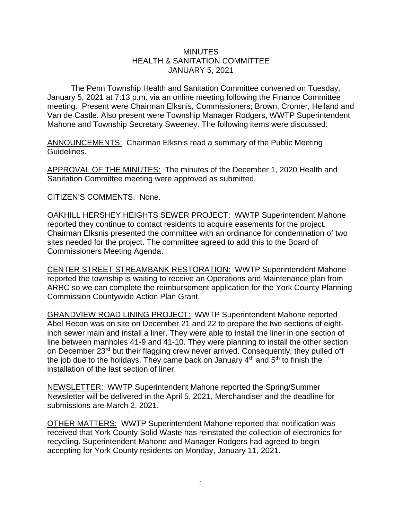## **MINUTES** HEALTH & SANITATION COMMITTEE JANUARY 5, 2021

The Penn Township Health and Sanitation Committee convened on Tuesday, January 5, 2021 at 7:13 p.m. via an online meeting following the Finance Committee meeting. Present were Chairman Elksnis, Commissioners; Brown, Cromer, Heiland and Van de Castle. Also present were Township Manager Rodgers, WWTP Superintendent Mahone and Township Secretary Sweeney. The following items were discussed:

ANNOUNCEMENTS: Chairman Elksnis read a summary of the Public Meeting Guidelines.

APPROVAL OF THE MINUTES: The minutes of the December 1, 2020 Health and Sanitation Committee meeting were approved as submitted.

## CITIZEN'S COMMENTS: None.

OAKHILL HERSHEY HEIGHTS SEWER PROJECT: WWTP Superintendent Mahone reported they continue to contact residents to acquire easements for the project. Chairman Elksnis presented the committee with an ordinance for condemnation of two sites needed for the project. The committee agreed to add this to the Board of Commissioners Meeting Agenda.

CENTER STREET STREAMBANK RESTORATION: WWTP Superintendent Mahone reported the township is waiting to receive an Operations and Maintenance plan from ARRC so we can complete the reimbursement application for the York County Planning Commission Countywide Action Plan Grant.

GRANDVIEW ROAD LINING PROJECT: WWTP Superintendent Mahone reported Abel Recon was on site on December 21 and 22 to prepare the two sections of eightinch sewer main and install a liner. They were able to install the liner in one section of line between manholes 41-9 and 41-10. They were planning to install the other section on December 23rd but their flagging crew never arrived. Consequently, they pulled off the job due to the holidays. They came back on January  $4<sup>th</sup>$  and  $5<sup>th</sup>$  to finish the installation of the last section of liner.

NEWSLETTER: WWTP Superintendent Mahone reported the Spring/Summer Newsletter will be delivered in the April 5, 2021, Merchandiser and the deadline for submissions are March 2, 2021.

OTHER MATTERS: WWTP Superintendent Mahone reported that notification was received that York County Solid Waste has reinstated the collection of electronics for recycling. Superintendent Mahone and Manager Rodgers had agreed to begin accepting for York County residents on Monday, January 11, 2021.